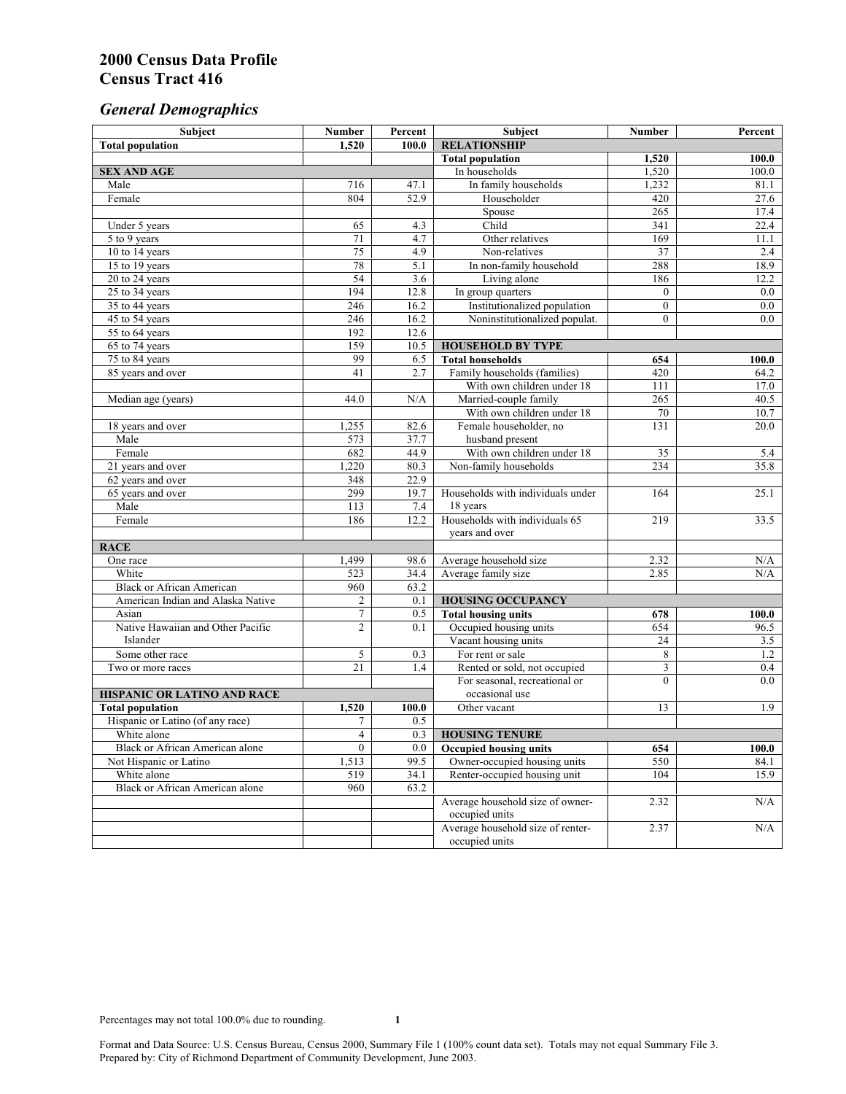# *General Demographics*

| Subject                                | <b>Number</b>   | Percent           | Subject                                             | Number         | Percent      |
|----------------------------------------|-----------------|-------------------|-----------------------------------------------------|----------------|--------------|
| <b>Total population</b>                | 1,520           | 100.0             | <b>RELATIONSHIP</b>                                 |                |              |
|                                        |                 |                   | <b>Total population</b>                             | 1,520          | 100.0        |
| <b>SEX AND AGE</b>                     |                 |                   | In households                                       | 1,520          | 100.0        |
| Male                                   | 716             | 47.1              | In family households                                | 1,232          | 81.1         |
| Female                                 | 804             | 52.9              | Householder                                         | 420            | 27.6         |
|                                        |                 |                   | Spouse                                              | 265            | 17.4         |
| Under 5 years                          | 65              | 4.3               | Child                                               | 341            | 22.4         |
| 5 to 9 years                           | 71              | $\overline{4.7}$  | Other relatives                                     | 169            | 11.1         |
| 10 to 14 years                         | 75              | 4.9               | Non-relatives                                       | 37             | 2.4          |
| 15 to 19 years                         | 78              | 5.1               | In non-family household                             | 288            | 18.9         |
| 20 to 24 years                         | 54              | $\overline{3.6}$  | Living alone                                        | 186            | 12.2         |
| 25 to 34 years                         | 194             | 12.8              | In group quarters                                   | $\overline{0}$ | 0.0          |
| 35 to 44 years                         | 246             | 16.2              | Institutionalized population                        | $\overline{0}$ | 0.0          |
| 45 to 54 years                         | 246             | 16.2              | Noninstitutionalized populat.                       | $\overline{0}$ | 0.0          |
| 55 to 64 years                         | 192<br>159      | 12.6<br>10.5      |                                                     |                |              |
| 65 to 74 years                         | 99              |                   | <b>HOUSEHOLD BY TYPE</b><br><b>Total households</b> |                |              |
| 75 to 84 years                         | 41              | 6.5<br>2.7        | Family households (families)                        | 654<br>420     | 100.0        |
| 85 years and over                      |                 |                   | With own children under 18                          | 111            | 64.2<br>17.0 |
| Median age (years)                     | 44.0            | N/A               | Married-couple family                               | 265            | 40.5         |
|                                        |                 |                   | With own children under 18                          | 70             | 10.7         |
| 18 years and over                      | 1,255           | 82.6              | Female householder, no                              | 131            | 20.0         |
| Male                                   | 573             | 37.7              | husband present                                     |                |              |
| Female                                 | 682             | 44.9              | With own children under 18                          | 35             | 5.4          |
| 21 years and over                      | 1,220           | 80.3              | Non-family households                               | 234            | 35.8         |
| 62 years and over                      | 348             | $\overline{22.9}$ |                                                     |                |              |
| 65 years and over                      | 299             | 19.7              | Households with individuals under                   | 164            | 25.1         |
| Male                                   | 113             | 7.4               | 18 years                                            |                |              |
| Female                                 | 186             | 12.2              | Households with individuals 65                      | 219            | 33.5         |
|                                        |                 |                   | years and over                                      |                |              |
| <b>RACE</b>                            |                 |                   |                                                     |                |              |
| One race                               | 1,499           | 98.6              | Average household size                              | 2.32           | N/A          |
| White                                  | 523             | 34.4              | Average family size                                 | 2.85           | N/A          |
| <b>Black or African American</b>       | 960             | 63.2              |                                                     |                |              |
| American Indian and Alaska Native      | $\overline{c}$  | 0.1               | <b>HOUSING OCCUPANCY</b>                            |                |              |
| Asian                                  | $\tau$          | 0.5               | <b>Total housing units</b>                          | 678            | 100.0        |
| Native Hawaiian and Other Pacific      | $\overline{c}$  | 0.1               | Occupied housing units                              | 654            | 96.5         |
| Islander                               |                 |                   | Vacant housing units                                | 24             | 3.5          |
| Some other race                        | 5               | 0.3               | For rent or sale                                    | 8              | 1.2          |
| Two or more races                      | $\overline{21}$ | 1.4               | Rented or sold, not occupied                        | 3              | 0.4          |
|                                        |                 |                   | For seasonal, recreational or                       | $\theta$       | 0.0          |
| HISPANIC OR LATINO AND RACE            |                 |                   | occasional use                                      |                |              |
| <b>Total population</b>                | 1,520           | 100.0             | Other vacant                                        | 13             | 1.9          |
| Hispanic or Latino (of any race)       | 7               | 0.5               |                                                     |                |              |
| White alone                            | 4               | 0.3               | <b>HOUSING TENURE</b>                               |                |              |
| Black or African American alone        | $\mathbf{0}$    | 0.0               | <b>Occupied housing units</b>                       | 654            | 100.0        |
| Not Hispanic or Latino                 | 1,513           | 99.5              | Owner-occupied housing units                        | 550            | 84.1         |
| White alone                            | 519             | 34.1              | Renter-occupied housing unit                        | 104            | 15.9         |
| <b>Black or African American alone</b> | 960             | 63.2              |                                                     |                |              |
|                                        |                 |                   | Average household size of owner-                    | 2.32           | N/A          |
|                                        |                 |                   | occupied units                                      |                |              |
|                                        |                 |                   | Average household size of renter-                   | 2.37           | N/A          |
|                                        |                 |                   | occupied units                                      |                |              |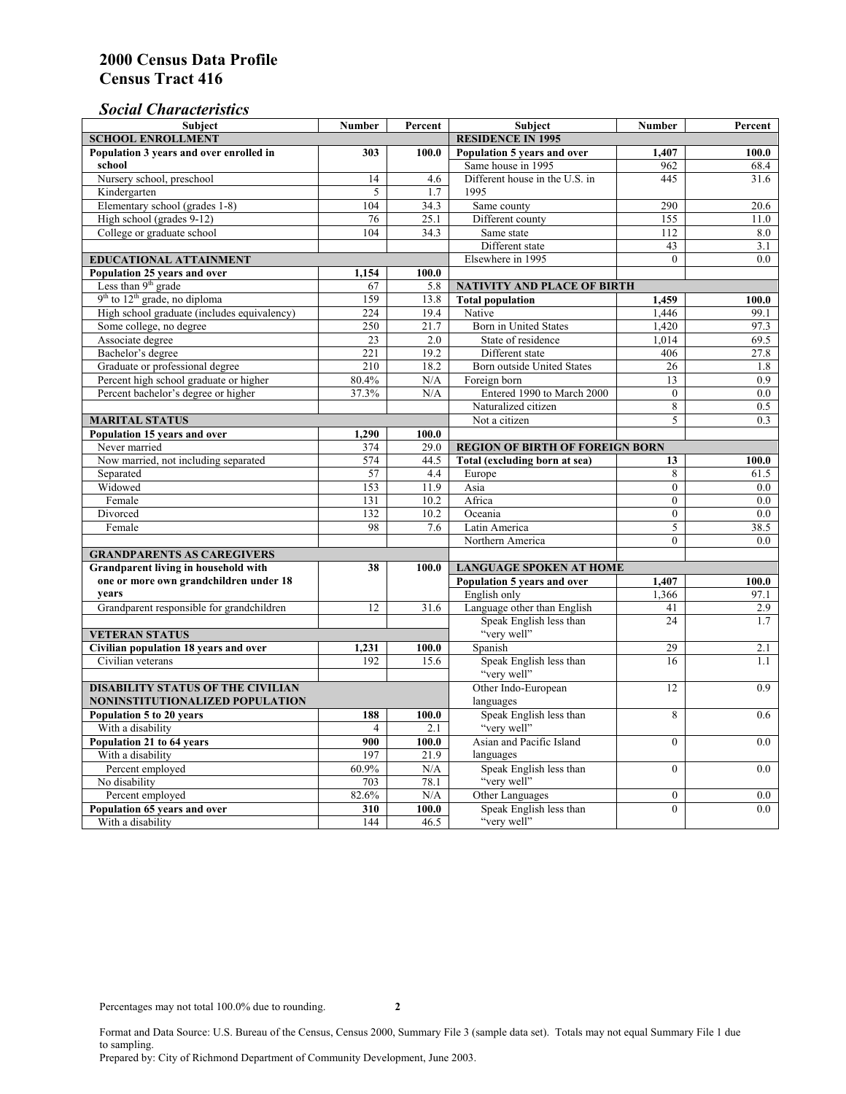## *Social Characteristics*

| <b>Subject</b>                                  | <b>Number</b>            | Percent       | <b>Subject</b>                                                                  | <b>Number</b>    | Percent          |
|-------------------------------------------------|--------------------------|---------------|---------------------------------------------------------------------------------|------------------|------------------|
| <b>SCHOOL ENROLLMENT</b>                        | <b>RESIDENCE IN 1995</b> |               |                                                                                 |                  |                  |
| Population 3 years and over enrolled in         | 303                      | 100.0         | Population 5 years and over                                                     | 1,407            | 100.0            |
| school                                          |                          |               | Same house in 1995                                                              | 962              | 68.4             |
| Nursery school, preschool                       | 14                       | 4.6           | Different house in the U.S. in                                                  | 445              | 31.6             |
| Kindergarten                                    | 5                        | 1.7           | 1995                                                                            |                  |                  |
| Elementary school (grades 1-8)                  | 104                      | 34.3          | Same county                                                                     | 290              | 20.6             |
| High school (grades 9-12)                       | 76                       | 25.1          | Different county                                                                | 155              | 11.0             |
| College or graduate school                      | 104                      | 34.3          | Same state                                                                      | 112              | 8.0              |
|                                                 |                          |               | Different state                                                                 | 43               | 3.1              |
| <b>EDUCATIONAL ATTAINMENT</b>                   | Elsewhere in 1995        | $\Omega$      | 0.0                                                                             |                  |                  |
| Population 25 years and over                    | 1,154                    | 100.0         |                                                                                 |                  |                  |
| Less than 9 <sup>th</sup> grade                 | 67                       | 5.8           | NATIVITY AND PLACE OF BIRTH                                                     |                  |                  |
| $9th$ to $12th$ grade, no diploma               | 159                      | 13.8          | <b>Total population</b>                                                         | 1,459            | 100.0            |
| High school graduate (includes equivalency)     | 224                      | 19.4          | Native                                                                          | 1.446            | 99.1             |
| Some college, no degree                         | 250                      | 21.7          | <b>Born</b> in United States                                                    | 1,420            | 97.3             |
| Associate degree                                | 23                       | 2.0           | State of residence                                                              | 1,014            | 69.5             |
| Bachelor's degree                               | 221                      | 19.2          | Different state                                                                 | 406              | 27.8             |
| Graduate or professional degree                 | 210                      | 18.2          | Born outside United States                                                      | 26               | 1.8              |
| Percent high school graduate or higher          | 80.4%                    | N/A           | Foreign born                                                                    | 13               | $\overline{0.9}$ |
| Percent bachelor's degree or higher             | 37.3%                    | N/A           | Entered 1990 to March 2000                                                      | $\overline{0}$   | 0.0              |
|                                                 |                          |               | Naturalized citizen                                                             | 8                | 0.5              |
| <b>MARITAL STATUS</b>                           |                          | Not a citizen | 5                                                                               | 0.3              |                  |
| Population 15 years and over                    | 1,290                    | 100.0         |                                                                                 |                  |                  |
| Never married                                   | 374                      | 29.0          | <b>REGION OF BIRTH OF FOREIGN BORN</b>                                          |                  |                  |
| Now married, not including separated            | 574                      | 44.5          | Total (excluding born at sea)                                                   | 13               | 100.0            |
| Separated                                       | 57                       | 4.4           | Europe                                                                          | 8                | 61.5             |
| Widowed                                         | 153                      | 11.9          | Asia                                                                            | $\overline{0}$   | $0.0\,$          |
| Female                                          | 131                      | 10.2          | Africa                                                                          | $\Omega$         | 0.0              |
| Divorced                                        | 132<br>98                | 10.2          | Oceania                                                                         | $\Omega$         | 0.0              |
| Female                                          |                          | 7.6           | Latin America                                                                   | 5<br>$\theta$    | 38.5             |
|                                                 |                          |               | Northern America                                                                |                  | 0.0              |
| <b>GRANDPARENTS AS CAREGIVERS</b>               |                          |               |                                                                                 |                  |                  |
| Grandparent living in household with<br>38      |                          | 100.0         | <b>LANGUAGE SPOKEN AT HOME</b><br>Population 5 years and over<br>1,407<br>100.0 |                  |                  |
| one or more own grandchildren under 18<br>years |                          |               | English only                                                                    | 1,366            |                  |
| Grandparent responsible for grandchildren       | 12                       | 31.6          | Language other than English                                                     | 41               | 97.1<br>2.9      |
|                                                 |                          |               | Speak English less than                                                         | 24               | 1.7              |
| <b>VETERAN STATUS</b>                           |                          |               | "very well"                                                                     |                  |                  |
| Civilian population 18 years and over           | 1,231                    | 100.0         | Spanish                                                                         | 29               | 2.1              |
| Civilian veterans                               | 192                      | 15.6          | Speak English less than                                                         | 16               | 1.1              |
|                                                 |                          |               | "very well"                                                                     |                  |                  |
| <b>DISABILITY STATUS OF THE CIVILIAN</b>        | Other Indo-European      | 12            | 0.9                                                                             |                  |                  |
| NONINSTITUTIONALIZED POPULATION                 | languages                |               |                                                                                 |                  |                  |
| Population 5 to 20 years                        | 188                      | 100.0         | Speak English less than                                                         | 8                | 0.6              |
| With a disability                               | $\overline{4}$           | 2.1           | "very well"                                                                     |                  |                  |
| Population 21 to 64 years                       | 900                      | 100.0         | Asian and Pacific Island                                                        | $\theta$         | 0.0              |
| With a disability                               | 197                      | 21.9          | languages                                                                       |                  |                  |
| Percent employed                                | 60.9%                    | N/A           | Speak English less than                                                         | $\mathbf{0}$     | 0.0              |
| No disability                                   | 703                      | 78.1          | "very well"                                                                     |                  |                  |
| Percent employed                                | 82.6%                    | N/A           | Other Languages                                                                 | $\boldsymbol{0}$ | $0.0\,$          |
| Population 65 years and over                    | 310                      | 100.0         | Speak English less than                                                         | $\mathbf{0}$     | 0.0              |
| With a disability                               | 144                      | 46.5          | "very well"                                                                     |                  |                  |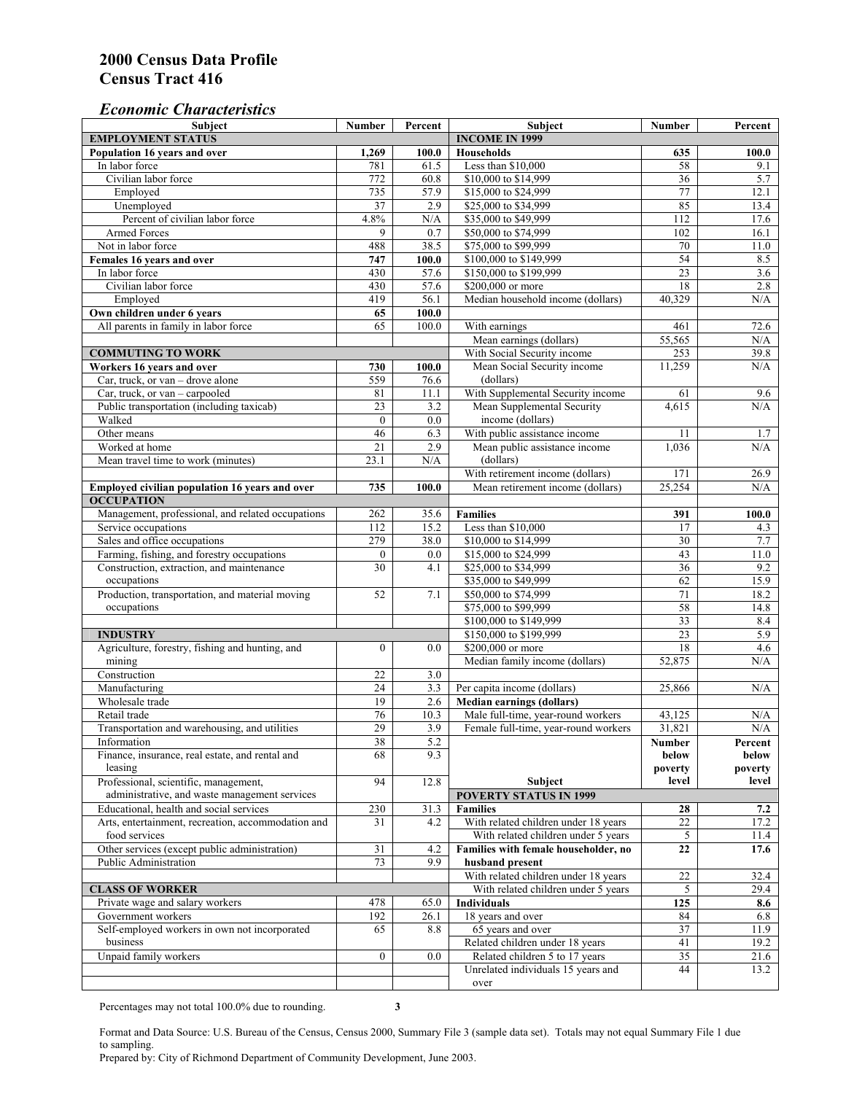#### *Economic Characteristics*

| <b>Subject</b>                                     | Number           | Percent               | Subject                              | Number           | Percent    |
|----------------------------------------------------|------------------|-----------------------|--------------------------------------|------------------|------------|
| <b>EMPLOYMENT STATUS</b>                           |                  | <b>INCOME IN 1999</b> |                                      |                  |            |
| Population 16 years and over                       | 1,269            | 100.0                 | <b>Households</b>                    | 635              | 100.0      |
| In labor force                                     | 781              | 61.5                  | Less than \$10,000                   | 58               | 9.1        |
| Civilian labor force                               | 772              | 60.8                  | \$10,000 to \$14,999                 | 36               | 5.7        |
| Employed                                           | 735              | 57.9                  | \$15,000 to \$24,999                 | 77               | 12.1       |
| Unemployed                                         | 37               | 2.9                   | \$25,000 to \$34,999                 | 85               | 13.4       |
| Percent of civilian labor force                    | 4.8%             | N/A                   | \$35,000 to \$49,999                 | 112              | 17.6       |
| Armed Forces                                       | 9                | 0.7                   | \$50,000 to \$74,999                 | 102              | 16.1       |
| Not in labor force                                 | 488              | 38.5                  | \$75,000 to \$99,999                 | 70               | 11.0       |
| Females 16 years and over                          | 747              | 100.0                 | \$100,000 to \$149,999               | 54               | 8.5        |
| In labor force                                     | 430              | 57.6                  | \$150,000 to \$199,999               | $\overline{23}$  | 3.6        |
| Civilian labor force                               | 430              | 57.6                  | \$200,000 or more                    | 18               | 2.8        |
| Employed                                           | 419              | 56.1                  | Median household income (dollars)    | 40,329           | N/A        |
| Own children under 6 years                         | 65               | 100.0                 |                                      |                  |            |
| All parents in family in labor force               | 65               | 100.0                 | With earnings                        | 461              | 72.6       |
|                                                    |                  |                       | Mean earnings (dollars)              | 55,565           | N/A        |
| <b>COMMUTING TO WORK</b>                           |                  |                       | With Social Security income          | 253              | 39.8       |
|                                                    |                  |                       |                                      |                  | N/A        |
| Workers 16 years and over                          | 730              | 100.0                 | Mean Social Security income          | 11,259           |            |
| Car, truck, or van – drove alone                   | 559              | 76.6                  | (dollars)                            |                  |            |
| Car, truck, or van - carpooled                     | 81               | 11.1                  | With Supplemental Security income    | 61               | 9.6        |
| Public transportation (including taxicab)          | $\overline{23}$  | $\overline{3.2}$      | Mean Supplemental Security           | 4,615            | N/A        |
| Walked                                             | $\mathbf{0}$     | 0.0                   | income (dollars)                     |                  |            |
| Other means                                        | 46               | 6.3                   | With public assistance income        | 11               | 1.7        |
| Worked at home                                     | $\overline{21}$  | 2.9                   | Mean public assistance income        | 1,036            | N/A        |
| Mean travel time to work (minutes)                 | 23.1             | N/A                   | (dollars)                            |                  |            |
|                                                    |                  |                       | With retirement income (dollars)     | 171              | 26.9       |
| Employed civilian population 16 years and over     | 735              | 100.0                 | Mean retirement income (dollars)     | 25,254           | N/A        |
| <b>OCCUPATION</b>                                  |                  |                       |                                      |                  |            |
| Management, professional, and related occupations  | 262              | 35.6                  | <b>Families</b>                      | 391              | 100.0      |
| Service occupations                                | 112              | 15.2                  | Less than \$10,000                   | 17               | 4.3        |
| Sales and office occupations                       | 279              | 38.0                  | \$10,000 to \$14,999                 | 30               | 7.7        |
| Farming, fishing, and forestry occupations         | $\boldsymbol{0}$ | 0.0                   | \$15,000 to \$24,999                 | 43               | 11.0       |
| Construction, extraction, and maintenance          | $\overline{30}$  | 4.1                   | \$25,000 to \$34,999                 | 36               | 9.2        |
| occupations                                        |                  |                       | \$35,000 to \$49,999                 | 62               | 15.9       |
| Production, transportation, and material moving    | 52               | 7.1                   | \$50,000 to \$74,999                 | 71               | 18.2       |
| occupations                                        |                  |                       | \$75,000 to \$99,999                 | 58               | 14.8       |
|                                                    |                  |                       | \$100,000 to \$149,999               | 33               | 8.4        |
| <b>INDUSTRY</b>                                    |                  |                       | \$150,000 to \$199,999               | 23               | 5.9        |
| Agriculture, forestry, fishing and hunting, and    | $\boldsymbol{0}$ | 0.0                   | \$200,000 or more                    | 18               | 4.6        |
| mining                                             |                  |                       | Median family income (dollars)       | 52,875           | N/A        |
| Construction                                       | 22               | 3.0                   |                                      |                  |            |
| Manufacturing                                      | $\overline{24}$  | 3.3                   | Per capita income (dollars)          | 25,866           | N/A        |
| Wholesale trade                                    | 19               | 2.6                   | <b>Median earnings (dollars)</b>     |                  |            |
| Retail trade                                       | 76               | 10.3                  | Male full-time, year-round workers   |                  |            |
|                                                    | 29               | 3.9                   | Female full-time, year-round workers | 43,125<br>31.821 | N/A<br>N/A |
| Transportation and warehousing, and utilities      |                  |                       |                                      |                  |            |
| Information                                        | 38               | 5.2                   |                                      | Number           | Percent    |
| Finance, insurance, real estate, and rental and    | 68               | 9.3                   |                                      | below            | below      |
| leasing                                            |                  |                       |                                      | poverty          | poverty    |
| Professional, scientific, management,              | 94               | 12.8                  | Subject                              | level            | level      |
| administrative, and waste management services      |                  |                       | <b>POVERTY STATUS IN 1999</b>        |                  |            |
| Educational, health and social services            | 230              | 31.3                  | <b>Families</b>                      | 28               | 7.2        |
| Arts, entertainment, recreation, accommodation and | 31               | 4.2                   | With related children under 18 years | $22\,$           | 17.2       |
| food services                                      |                  |                       | With related children under 5 years  | $\mathfrak{S}$   | 11.4       |
| Other services (except public administration)      | 31               | 4.2                   | Families with female householder, no | 22               | 17.6       |
| Public Administration                              | 73               | 9.9                   | husband present                      |                  |            |
|                                                    |                  |                       | With related children under 18 years | $22\,$           | 32.4       |
| <b>CLASS OF WORKER</b>                             |                  |                       | With related children under 5 years  | 5                | 29.4       |
| Private wage and salary workers                    | 478              | 65.0                  | Individuals                          | 125              | 8.6        |
| Government workers                                 | 192              | 26.1                  | 18 years and over                    | 84               | 6.8        |
| Self-employed workers in own not incorporated      | 65               | 8.8                   | 65 years and over                    | 37               | 11.9       |
| business                                           |                  |                       | Related children under 18 years      | 41               | 19.2       |
| Unpaid family workers                              | $\mathbf{0}$     | 0.0                   | Related children 5 to 17 years       | 35               | 21.6       |
|                                                    |                  |                       | Unrelated individuals 15 years and   | 44               | 13.2       |
|                                                    |                  |                       | over                                 |                  |            |
|                                                    |                  |                       |                                      |                  |            |

Percentages may not total 100.0% due to rounding. **3** 

Format and Data Source: U.S. Bureau of the Census, Census 2000, Summary File 3 (sample data set). Totals may not equal Summary File 1 due to sampling.

Prepared by: City of Richmond Department of Community Development, June 2003.